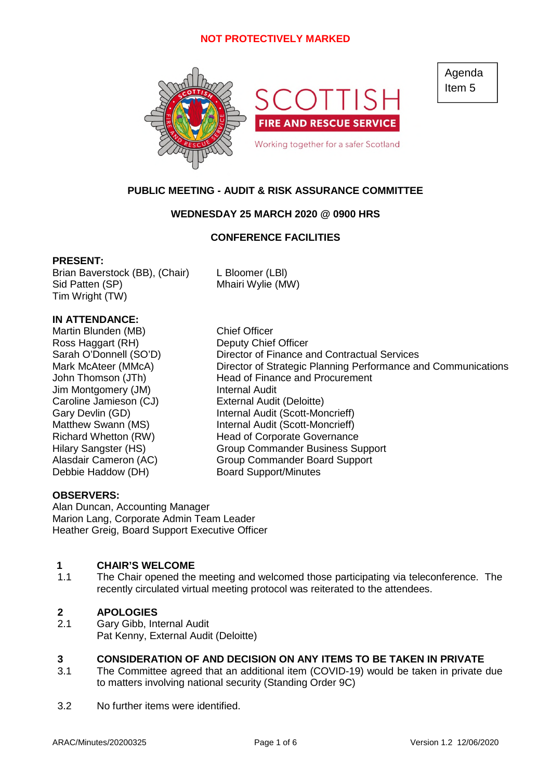

Agenda Item 5

# **PUBLIC MEETING - AUDIT & RISK ASSURANCE COMMITTEE**

### **WEDNESDAY 25 MARCH 2020 @ 0900 HRS**

### **CONFERENCE FACILITIES**

### **PRESENT:**

Brian Baverstock (BB), (Chair) L Bloomer (LBl) Sid Patten (SP) Mhairi Wylie (MW) Tim Wright (TW)

# **IN ATTENDANCE:**

Martin Blunden (MB) Chief Officer Ross Haggart (RH) Deputy Chief Officer Jim Montgomery (JM) Internal Audit Caroline Jamieson (CJ) External Audit (Deloitte) Debbie Haddow (DH) Board Support/Minutes

Sarah O'Donnell (SO'D) Director of Finance and Contractual Services Mark McAteer (MMcA) Director of Strategic Planning Performance and Communications John Thomson (JTh) Head of Finance and Procurement Gary Devlin (GD) **Internal Audit (Scott-Moncrieff)** Matthew Swann (MS) Internal Audit (Scott-Moncrieff) Richard Whetton (RW) Head of Corporate Governance Hilary Sangster (HS) Group Commander Business Support Alasdair Cameron (AC) Group Commander Board Support

### **OBSERVERS:**

Alan Duncan, Accounting Manager Marion Lang, Corporate Admin Team Leader Heather Greig, Board Support Executive Officer

# **1 CHAIR'S WELCOME**<br>**1.1** The Chair opened the

The Chair opened the meeting and welcomed those participating via teleconference. The recently circulated virtual meeting protocol was reiterated to the attendees.

### **2 APOLOGIES**

2.1 Gary Gibb, Internal Audit Pat Kenny, External Audit (Deloitte)

### **3 CONSIDERATION OF AND DECISION ON ANY ITEMS TO BE TAKEN IN PRIVATE**

- 3.1 The Committee agreed that an additional item (COVID-19) would be taken in private due to matters involving national security (Standing Order 9C)
- 3.2 No further items were identified.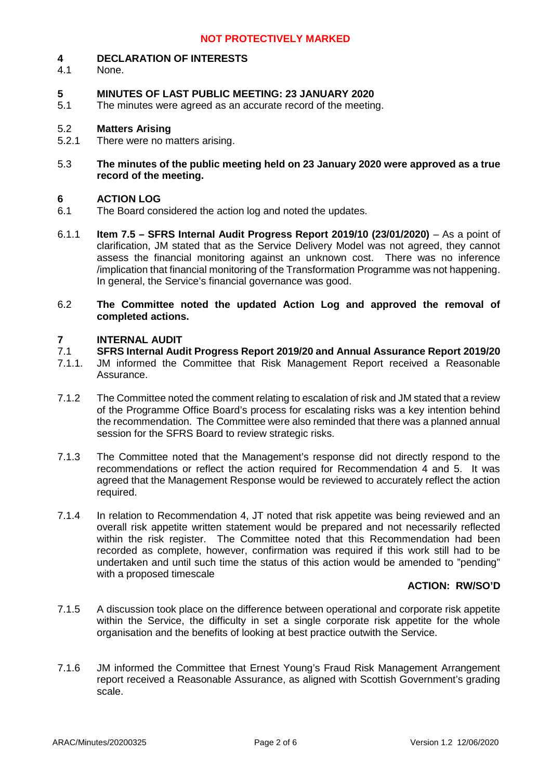#### **4 DECLARATION OF INTERESTS**

4.1 None.

### **5 MINUTES OF LAST PUBLIC MEETING: 23 JANUARY 2020**

5.1 The minutes were agreed as an accurate record of the meeting.

#### 5.2 **Matters Arising**

- 5.2.1 There were no matters arising.
- 5.3 **The minutes of the public meeting held on 23 January 2020 were approved as a true record of the meeting.**

### **6 ACTION LOG**

- 6.1 The Board considered the action log and noted the updates.
- 6.1.1 **Item 7.5 – SFRS Internal Audit Progress Report 2019/10 (23/01/2020)** – As a point of clarification, JM stated that as the Service Delivery Model was not agreed, they cannot assess the financial monitoring against an unknown cost. There was no inference /implication that financial monitoring of the Transformation Programme was not happening. In general, the Service's financial governance was good.
- 6.2 **The Committee noted the updated Action Log and approved the removal of completed actions.**

#### **7 INTERNAL AUDIT**

#### 7.1 **SFRS Internal Audit Progress Report 2019/20 and Annual Assurance Report 2019/20**

- 7.1.1. JM informed the Committee that Risk Management Report received a Reasonable Assurance.
- 7.1.2 The Committee noted the comment relating to escalation of risk and JM stated that a review of the Programme Office Board's process for escalating risks was a key intention behind the recommendation. The Committee were also reminded that there was a planned annual session for the SFRS Board to review strategic risks.
- 7.1.3 The Committee noted that the Management's response did not directly respond to the recommendations or reflect the action required for Recommendation 4 and 5. It was agreed that the Management Response would be reviewed to accurately reflect the action required.
- 7.1.4 In relation to Recommendation 4, JT noted that risk appetite was being reviewed and an overall risk appetite written statement would be prepared and not necessarily reflected within the risk register. The Committee noted that this Recommendation had been recorded as complete, however, confirmation was required if this work still had to be undertaken and until such time the status of this action would be amended to "pending" with a proposed timescale

# **ACTION: RW/SO'D**

- 7.1.5 A discussion took place on the difference between operational and corporate risk appetite within the Service, the difficulty in set a single corporate risk appetite for the whole organisation and the benefits of looking at best practice outwith the Service.
- 7.1.6 JM informed the Committee that Ernest Young's Fraud Risk Management Arrangement report received a Reasonable Assurance, as aligned with Scottish Government's grading scale.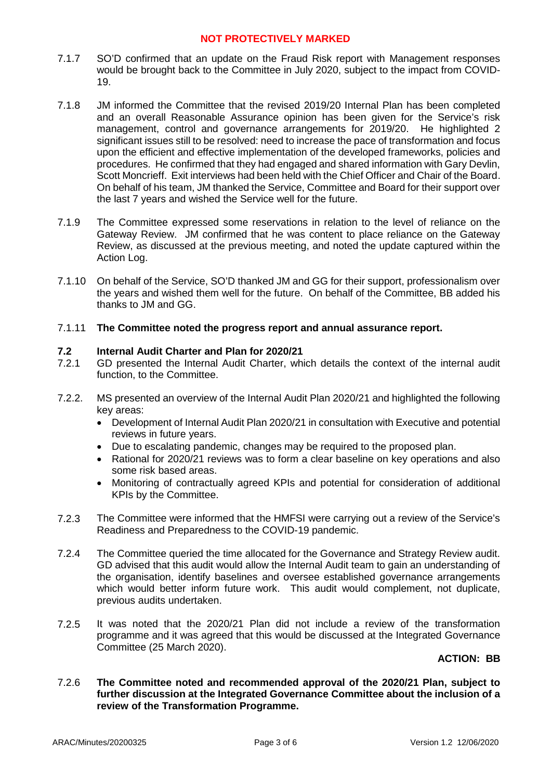- 7.1.7 SO'D confirmed that an update on the Fraud Risk report with Management responses would be brought back to the Committee in July 2020, subject to the impact from COVID-19.
- 7.1.8 JM informed the Committee that the revised 2019/20 Internal Plan has been completed and an overall Reasonable Assurance opinion has been given for the Service's risk management, control and governance arrangements for 2019/20. He highlighted 2 significant issues still to be resolved: need to increase the pace of transformation and focus upon the efficient and effective implementation of the developed frameworks, policies and procedures. He confirmed that they had engaged and shared information with Gary Devlin, Scott Moncrieff. Exit interviews had been held with the Chief Officer and Chair of the Board. On behalf of his team, JM thanked the Service, Committee and Board for their support over the last 7 years and wished the Service well for the future.
- 7.1.9 The Committee expressed some reservations in relation to the level of reliance on the Gateway Review. JM confirmed that he was content to place reliance on the Gateway Review, as discussed at the previous meeting, and noted the update captured within the Action Log.
- 7.1.10 On behalf of the Service, SO'D thanked JM and GG for their support, professionalism over the years and wished them well for the future. On behalf of the Committee, BB added his thanks to JM and GG.
- 7.1.11 **The Committee noted the progress report and annual assurance report.**

### **7.2 Internal Audit Charter and Plan for 2020/21**

- 7.2.1 GD presented the Internal Audit Charter, which details the context of the internal audit function, to the Committee.
- 7.2.2. MS presented an overview of the Internal Audit Plan 2020/21 and highlighted the following key areas:
	- Development of Internal Audit Plan 2020/21 in consultation with Executive and potential reviews in future years.
	- Due to escalating pandemic, changes may be required to the proposed plan.
	- Rational for 2020/21 reviews was to form a clear baseline on key operations and also some risk based areas.
	- Monitoring of contractually agreed KPIs and potential for consideration of additional KPIs by the Committee.
- 7.2.3 The Committee were informed that the HMFSI were carrying out a review of the Service's Readiness and Preparedness to the COVID-19 pandemic.
- 7.2.4 The Committee queried the time allocated for the Governance and Strategy Review audit. GD advised that this audit would allow the Internal Audit team to gain an understanding of the organisation, identify baselines and oversee established governance arrangements which would better inform future work. This audit would complement, not duplicate, previous audits undertaken.
- 7.2.5 It was noted that the 2020/21 Plan did not include a review of the transformation programme and it was agreed that this would be discussed at the Integrated Governance Committee (25 March 2020).

### **ACTION: BB**

7.2.6 **The Committee noted and recommended approval of the 2020/21 Plan, subject to further discussion at the Integrated Governance Committee about the inclusion of a review of the Transformation Programme.**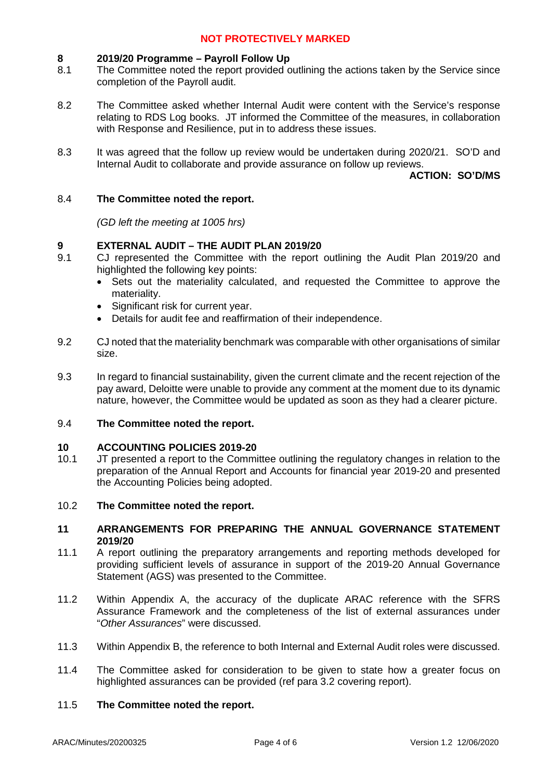#### **8 2019/20 Programme – Payroll Follow Up**

- 8.1 The Committee noted the report provided outlining the actions taken by the Service since completion of the Payroll audit.
- 8.2 The Committee asked whether Internal Audit were content with the Service's response relating to RDS Log books. JT informed the Committee of the measures, in collaboration with Response and Resilience, put in to address these issues.
- 8.3 It was agreed that the follow up review would be undertaken during 2020/21. SO'D and Internal Audit to collaborate and provide assurance on follow up reviews.

**ACTION: SO'D/MS**

#### 8.4 **The Committee noted the report.**

*(GD left the meeting at 1005 hrs)*

### **9 EXTERNAL AUDIT – THE AUDIT PLAN 2019/20**

- 9.1 CJ represented the Committee with the report outlining the Audit Plan 2019/20 and highlighted the following key points:
	- Sets out the materiality calculated, and requested the Committee to approve the materiality.
	- Significant risk for current year.
	- Details for audit fee and reaffirmation of their independence.
- 9.2 CJ noted that the materiality benchmark was comparable with other organisations of similar size.
- 9.3 In regard to financial sustainability, given the current climate and the recent rejection of the pay award, Deloitte were unable to provide any comment at the moment due to its dynamic nature, however, the Committee would be updated as soon as they had a clearer picture.

#### 9.4 **The Committee noted the report.**

### **10 ACCOUNTING POLICIES 2019-20**

10.1 JT presented a report to the Committee outlining the regulatory changes in relation to the preparation of the Annual Report and Accounts for financial year 2019-20 and presented the Accounting Policies being adopted.

#### 10.2 **The Committee noted the report.**

### **11 ARRANGEMENTS FOR PREPARING THE ANNUAL GOVERNANCE STATEMENT 2019/20**

- 11.1 A report outlining the preparatory arrangements and reporting methods developed for providing sufficient levels of assurance in support of the 2019-20 Annual Governance Statement (AGS) was presented to the Committee.
- 11.2 Within Appendix A, the accuracy of the duplicate ARAC reference with the SFRS Assurance Framework and the completeness of the list of external assurances under "*Other Assurances*" were discussed.
- 11.3 Within Appendix B, the reference to both Internal and External Audit roles were discussed.
- 11.4 The Committee asked for consideration to be given to state how a greater focus on highlighted assurances can be provided (ref para 3.2 covering report).

#### 11.5 **The Committee noted the report.**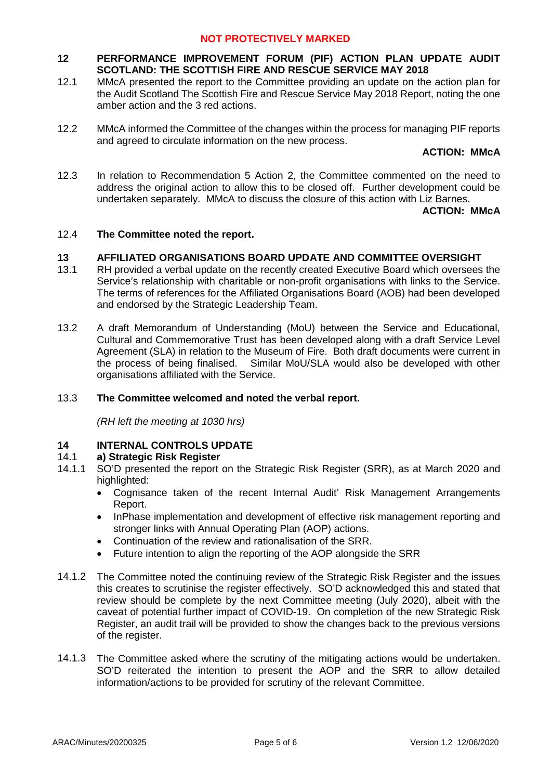### **12 PERFORMANCE IMPROVEMENT FORUM (PIF) ACTION PLAN UPDATE AUDIT SCOTLAND: THE SCOTTISH FIRE AND RESCUE SERVICE MAY 2018**

- 12.1 MMcA presented the report to the Committee providing an update on the action plan for the Audit Scotland The Scottish Fire and Rescue Service May 2018 Report, noting the one amber action and the 3 red actions.
- 12.2 MMcA informed the Committee of the changes within the process for managing PIF reports and agreed to circulate information on the new process.

**ACTION: MMcA**

12.3 In relation to Recommendation 5 Action 2, the Committee commented on the need to address the original action to allow this to be closed off. Further development could be undertaken separately. MMcA to discuss the closure of this action with Liz Barnes.

### **ACTION: MMcA**

### 12.4 **The Committee noted the report.**

### **13 AFFILIATED ORGANISATIONS BOARD UPDATE AND COMMITTEE OVERSIGHT**

- 13.1 RH provided a verbal update on the recently created Executive Board which oversees the Service's relationship with charitable or non-profit organisations with links to the Service. The terms of references for the Affiliated Organisations Board (AOB) had been developed and endorsed by the Strategic Leadership Team.
- 13.2 A draft Memorandum of Understanding (MoU) between the Service and Educational, Cultural and Commemorative Trust has been developed along with a draft Service Level Agreement (SLA) in relation to the Museum of Fire. Both draft documents were current in the process of being finalised. Similar MoU/SLA would also be developed with other organisations affiliated with the Service.

### 13.3 **The Committee welcomed and noted the verbal report.**

*(RH left the meeting at 1030 hrs)*

### **14 INTERNAL CONTROLS UPDATE**

#### 14.1 **a) Strategic Risk Register**

- 14.1.1 SO'D presented the report on the Strategic Risk Register (SRR), as at March 2020 and highlighted:
	- Cognisance taken of the recent Internal Audit' Risk Management Arrangements Report.
	- InPhase implementation and development of effective risk management reporting and stronger links with Annual Operating Plan (AOP) actions.
	- Continuation of the review and rationalisation of the SRR.
	- Future intention to align the reporting of the AOP alongside the SRR
- 14.1.2 The Committee noted the continuing review of the Strategic Risk Register and the issues this creates to scrutinise the register effectively. SO'D acknowledged this and stated that review should be complete by the next Committee meeting (July 2020), albeit with the caveat of potential further impact of COVID-19. On completion of the new Strategic Risk Register, an audit trail will be provided to show the changes back to the previous versions of the register.
- 14.1.3 The Committee asked where the scrutiny of the mitigating actions would be undertaken. SO'D reiterated the intention to present the AOP and the SRR to allow detailed information/actions to be provided for scrutiny of the relevant Committee.